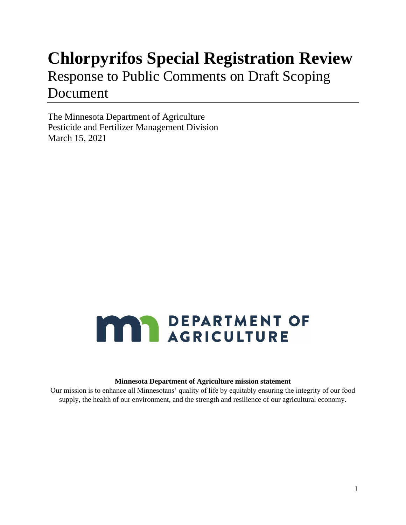## **Chlorpyrifos Special Registration Review**

## Response to Public Comments on Draft Scoping Document

The Minnesota Department of Agriculture Pesticide and Fertilizer Management Division March 15, 2021

# **MAY DEPARTMENT OF**

#### **Minnesota Department of Agriculture mission statement**

Our mission is to enhance all Minnesotans' quality of life by equitably ensuring the integrity of our food supply, the health of our environment, and the strength and resilience of our agricultural economy.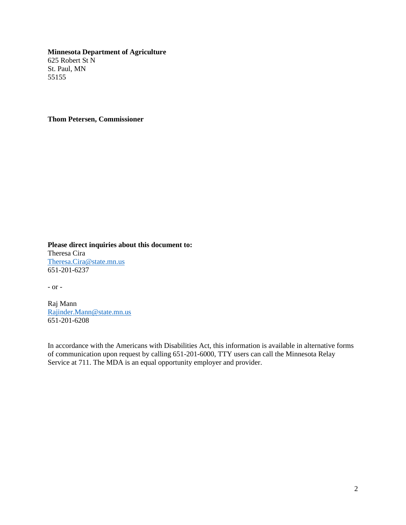**Minnesota Department of Agriculture** 625 Robert St N St. Paul, MN 55155

**Thom Petersen, Commissioner**

**Please direct inquiries about this document to:** Theresa Cira [Theresa.Cira@state.mn.us](mailto:Theresa.Cira@state.mn.us) 651-201-6237

- or -

Raj Mann [Rajinder.Mann@state.mn.us](mailto:Rajinder.Mann@state.mn.us) 651-201-6208

In accordance with the Americans with Disabilities Act, this information is available in alternative forms of communication upon request by calling 651-201-6000, TTY users can call the Minnesota Relay Service at 711. The MDA is an equal opportunity employer and provider.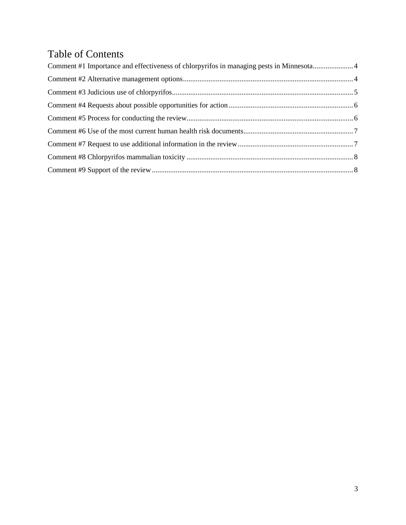## Table of Contents

| Comment #1 Importance and effectiveness of chlorpyrifos in managing pests in Minnesota4 |  |
|-----------------------------------------------------------------------------------------|--|
|                                                                                         |  |
|                                                                                         |  |
|                                                                                         |  |
|                                                                                         |  |
|                                                                                         |  |
|                                                                                         |  |
|                                                                                         |  |
|                                                                                         |  |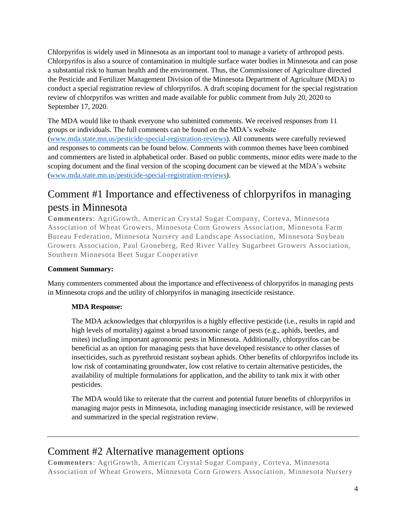Chlorpyrifos is widely used in Minnesota as an important tool to manage a variety of arthropod pests. Chlorpyrifos is also a source of contamination in multiple surface water bodies in Minnesota and can pose a substantial risk to human health and the environment. Thus, the Commissioner of Agriculture directed the Pesticide and Fertilizer Management Division of the Minnesota Department of Agriculture (MDA) to conduct a special registration review of chlorpyrifos. A draft scoping document for the special registration review of chlorpyrifos was written and made available for public comment from July 20, 2020 to September 17, 2020.

The MDA would like to thank everyone who submitted comments. We received responses from 11 groups or individuals. The full comments can be found on the MDA's website [\(www.mda.state.mn.us/pesticide-special-registration-reviews\)](http://www.mda.state.mn.us/pesticide-special-registration-reviews). All comments were carefully reviewed and responses to comments can be found below. Comments with common themes have been combined and commenters are listed in alphabetical order. Based on public comments, minor edits were made to the scoping document and the final version of the scoping document can be viewed at the MDA's website [\(www.mda.state.mn.us/pesticide-special-registration-reviews\)](http://www.mda.state.mn.us/pesticide-special-registration-reviews).

## <span id="page-3-0"></span>Comment #1 Importance and effectiveness of chlorpyrifos in managing pests in Minnesota

**Commenters**: AgriGrowth, American Crystal Sugar Company, Corteva, Minnesota Association of Wheat Growers, Minnesota Corn Growers Association, Minnesota Farm Bureau Federation, Minnesota Nursery and Landscape Association, Minnesota Soybean Growers Association, Paul Groneberg, Red River Valley Sugarbeet Growers Association, Southern Minnesota Beet Sugar Cooperative

## **Comment Summary:**

Many commenters commented about the importance and effectiveness of chlorpyrifos in managing pests in Minnesota crops and the utility of chlorpyrifos in managing insecticide resistance.

## **MDA Response:**

The MDA acknowledges that chlorpyrifos is a highly effective pesticide (i.e., results in rapid and high levels of mortality) against a broad taxonomic range of pests (e.g., aphids, beetles, and mites) including important agronomic pests in Minnesota. Additionally, chlorpyrifos can be beneficial as an option for managing pests that have developed resistance to other classes of insecticides, such as pyrethroid resistant soybean aphids. Other benefits of chlorpyrifos include its low risk of contaminating groundwater, low cost relative to certain alternative pesticides, the availability of multiple formulations for application, and the ability to tank mix it with other pesticides.

The MDA would like to reiterate that the current and potential future benefits of chlorpyrifos in managing major pests in Minnesota, including managing insecticide resistance, will be reviewed and summarized in the special registration review.

## <span id="page-3-1"></span>Comment #2 Alternative management options

**Commenters**: AgriGrowth, American Crystal Sugar Company, Corteva, Minnesota Association of Wheat Growers, Minnesota Corn Growers Association, Minnesota Nursery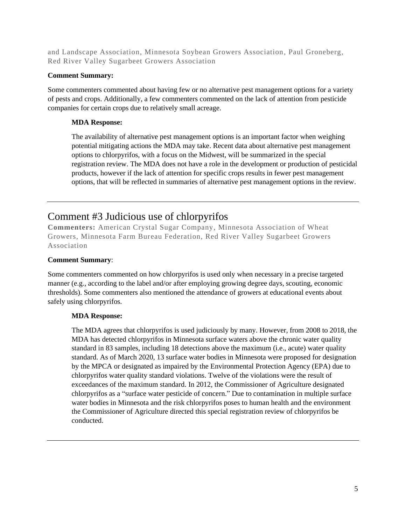and Landscape Association, Minnesota Soybean Growers Association, Paul Groneberg, Red River Valley Sugarbeet Growers Association

#### **Comment Summary:**

Some commenters commented about having few or no alternative pest management options for a variety of pests and crops. Additionally, a few commenters commented on the lack of attention from pesticide companies for certain crops due to relatively small acreage.

## **MDA Response:**

The availability of alternative pest management options is an important factor when weighing potential mitigating actions the MDA may take. Recent data about alternative pest management options to chlorpyrifos, with a focus on the Midwest, will be summarized in the special registration review. The MDA does not have a role in the development or production of pesticidal products, however if the lack of attention for specific crops results in fewer pest management options, that will be reflected in summaries of alternative pest management options in the review.

## <span id="page-4-0"></span>Comment #3 Judicious use of chlorpyrifos

**Commenters:** American Crystal Sugar Company, Minnesota Association of Wheat Growers, Minnesota Farm Bureau Federation, Red River Valley Sugarbeet Growers Association

#### **Comment Summary**:

Some commenters commented on how chlorpyrifos is used only when necessary in a precise targeted manner (e.g., according to the label and/or after employing growing degree days, scouting, economic thresholds). Some commenters also mentioned the attendance of growers at educational events about safely using chlorpyrifos.

#### **MDA Response:**

The MDA agrees that chlorpyrifos is used judiciously by many. However, from 2008 to 2018, the MDA has detected chlorpyrifos in Minnesota surface waters above the chronic water quality standard in 83 samples, including 18 detections above the maximum (i.e., acute) water quality standard. As of March 2020, 13 surface water bodies in Minnesota were proposed for designation by the MPCA or designated as impaired by the Environmental Protection Agency (EPA) due to chlorpyrifos water quality standard violations. Twelve of the violations were the result of exceedances of the maximum standard. In 2012, the Commissioner of Agriculture designated chlorpyrifos as a "surface water pesticide of concern." Due to contamination in multiple surface water bodies in Minnesota and the risk chlorpyrifos poses to human health and the environment the Commissioner of Agriculture directed this special registration review of chlorpyrifos be conducted.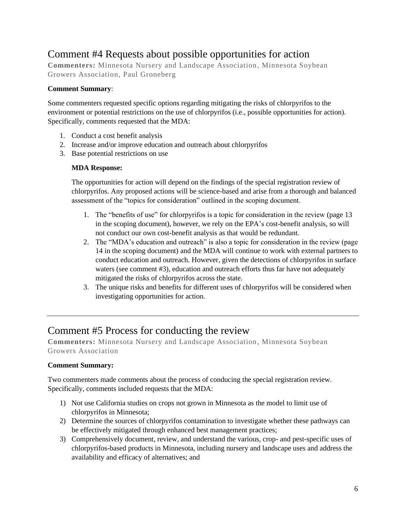## <span id="page-5-0"></span>Comment #4 Requests about possible opportunities for action

**Commenters:** Minnesota Nursery and Landscape Association, Minnesota Soybean Growers Association, Paul Groneberg

### **Comment Summary**:

Some commenters requested specific options regarding mitigating the risks of chlorpyrifos to the environment or potential restrictions on the use of chlorpyrifos (i.e., possible opportunities for action). Specifically, comments requested that the MDA:

- 1. Conduct a cost benefit analysis
- 2. Increase and/or improve education and outreach about chlorpyrifos
- 3. Base potential restrictions on use

## **MDA Response:**

The opportunities for action will depend on the findings of the special registration review of chlorpyrifos. Any proposed actions will be science-based and arise from a thorough and balanced assessment of the "topics for consideration" outlined in the scoping document.

- 1. The "benefits of use" for chlorpyrifos is a topic for consideration in the review (page 13 in the scoping document), however, we rely on the EPA's cost-benefit analysis, so will not conduct our own cost-benefit analysis as that would be redundant.
- 2. The "MDA's education and outreach" is also a topic for consideration in the review (page 14 in the scoping document) and the MDA will continue to work with external partners to conduct education and outreach. However, given the detections of chlorpyrifos in surface waters (see comment #3), education and outreach efforts thus far have not adequately mitigated the risks of chlorpyrifos across the state.
- 3. The unique risks and benefits for different uses of chlorpyrifos will be considered when investigating opportunities for action.

## <span id="page-5-1"></span>Comment #5 Process for conducting the review

**Commenters:** Minnesota Nursery and Landscape Association, Minnesota Soybean Growers Association

## **Comment Summary:**

Two commenters made comments about the process of conducing the special registration review. Specifically, comments included requests that the MDA:

- 1) Not use California studies on crops not grown in Minnesota as the model to limit use of chlorpyrifos in Minnesota;
- 2) Determine the sources of chlorpyrifos contamination to investigate whether these pathways can be effectively mitigated through enhanced best management practices;
- 3) Comprehensively document, review, and understand the various, crop- and pest-specific uses of chlorpyrifos-based products in Minnesota, including nursery and landscape uses and address the availability and efficacy of alternatives; and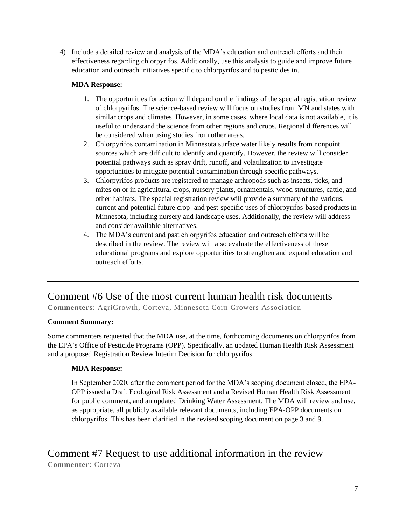4) Include a detailed review and analysis of the MDA's education and outreach efforts and their effectiveness regarding chlorpyrifos. Additionally, use this analysis to guide and improve future education and outreach initiatives specific to chlorpyrifos and to pesticides in.

## **MDA Response:**

- 1. The opportunities for action will depend on the findings of the special registration review of chlorpyrifos. The science-based review will focus on studies from MN and states with similar crops and climates. However, in some cases, where local data is not available, it is useful to understand the science from other regions and crops. Regional differences will be considered when using studies from other areas.
- 2. Chlorpyrifos contamination in Minnesota surface water likely results from nonpoint sources which are difficult to identify and quantify. However, the review will consider potential pathways such as spray drift, runoff, and volatilization to investigate opportunities to mitigate potential contamination through specific pathways.
- 3. Chlorpyrifos products are registered to manage arthropods such as insects, ticks, and mites on or in agricultural crops, nursery plants, ornamentals, wood structures, cattle, and other habitats. The special registration review will provide a summary of the various, current and potential future crop- and pest-specific uses of chlorpyrifos-based products in Minnesota, including nursery and landscape uses. Additionally, the review will address and consider available alternatives.
- 4. The MDA's current and past chlorpyrifos education and outreach efforts will be described in the review. The review will also evaluate the effectiveness of these educational programs and explore opportunities to strengthen and expand education and outreach efforts.

## <span id="page-6-0"></span>Comment #6 Use of the most current human health risk documents

**Commenters**: AgriGrowth, Corteva, Minnesota Corn Growers Association

#### **Comment Summary:**

Some commenters requested that the MDA use, at the time, forthcoming documents on chlorpyrifos from the EPA's Office of Pesticide Programs (OPP). Specifically, an updated Human Health Risk Assessment and a proposed Registration Review Interim Decision for chlorpyrifos.

## **MDA Response:**

In September 2020, after the comment period for the MDA's scoping document closed, the EPA-OPP issued a Draft Ecological Risk Assessment and a Revised Human Health Risk Assessment for public comment, and an updated Drinking Water Assessment. The MDA will review and use, as appropriate, all publicly available relevant documents, including EPA-OPP documents on chlorpyrifos. This has been clarified in the revised scoping document on page 3 and 9.

<span id="page-6-1"></span>Comment #7 Request to use additional information in the review **Commenter**: Corteva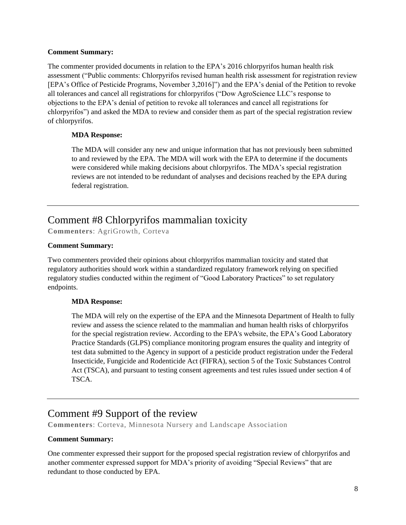#### **Comment Summary:**

The commenter provided documents in relation to the EPA's 2016 chlorpyrifos human health risk assessment ("Public comments: Chlorpyrifos revised human health risk assessment for registration review [EPA's Office of Pesticide Programs, November 3,2016]") and the EPA's denial of the Petition to revoke all tolerances and cancel all registrations for chlorpyrifos ("Dow AgroScience LLC's response to objections to the EPA's denial of petition to revoke all tolerances and cancel all registrations for chlorpyrifos") and asked the MDA to review and consider them as part of the special registration review of chlorpyrifos.

### **MDA Response:**

The MDA will consider any new and unique information that has not previously been submitted to and reviewed by the EPA. The MDA will work with the EPA to determine if the documents were considered while making decisions about chlorpyrifos. The MDA's special registration reviews are not intended to be redundant of analyses and decisions reached by the EPA during federal registration.

## <span id="page-7-0"></span>Comment #8 Chlorpyrifos mammalian toxicity

**Commenters**: AgriGrowth, Corteva

#### **Comment Summary:**

Two commenters provided their opinions about chlorpyrifos mammalian toxicity and stated that regulatory authorities should work within a standardized regulatory framework relying on specified regulatory studies conducted within the regiment of "Good Laboratory Practices" to set regulatory endpoints.

#### **MDA Response:**

The MDA will rely on the expertise of the EPA and the Minnesota Department of Health to fully review and assess the science related to the mammalian and human health risks of chlorpyrifos for the special registration review. According to the EPA's website, the EPA's Good Laboratory Practice Standards (GLPS) compliance monitoring program ensures the quality and integrity of test data submitted to the Agency in support of a pesticide product registration under the Federal Insecticide, Fungicide and Rodenticide Act (FIFRA), section 5 of the Toxic Substances Control Act (TSCA), and pursuant to testing consent agreements and test rules issued under section 4 of TSCA.

## <span id="page-7-1"></span>Comment #9 Support of the review

**Commenters**: Corteva, Minnesota Nursery and Landscape Association

#### **Comment Summary:**

One commenter expressed their support for the proposed special registration review of chlorpyrifos and another commenter expressed support for MDA's priority of avoiding "Special Reviews" that are redundant to those conducted by EPA.